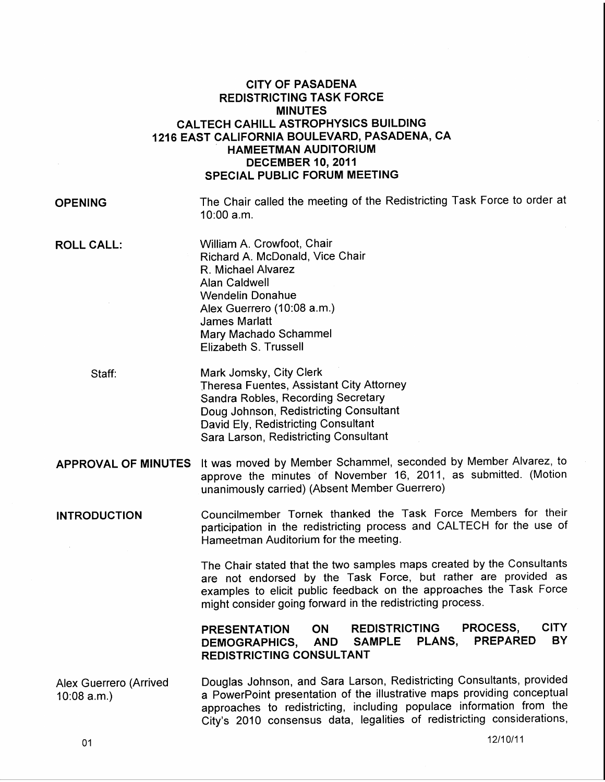## CITY OF PASADENA REDISTRICTING TASK FORCE MINUTES CALTECH CAHILL ASTROPHYSICS BUILDING 1216 EAST CALIFORNIA BOULEVARD, PASADENA, CA - HAMEETMAN AUDITORIUM DECEMBER 10, 2011 SPECIAL PUBLIC FORUM MEETING

OPENING

The Chair called the meeting of the Redistricting Task Force to order at 10:00 a.m.

ROLL CALL:

William A. Crowfoot, Chair Richard A. McDonald, Vice Chair R. Michael Alvarez Alan Caldwell Wendelin Donahue Alex Guerrero (10:08 a.m.) James Marlatt Mary Machado Schammel Elizabeth S. Trussell

Staff:

- Mark Jomsky, City Clerk Theresa Fuentes, Assistant City Attorney Sandra Robles, Recording Secretary Doug Johnson, Redistricting Consultant David Ely, Redistricting Consultant Sara Larson, Redistricting Consultant
- APPROVAL OF MINUTES It was moved by Member Schammel, seconded by Member Alvarez, to approve the minutes of November 16, 2011, as submitted. (Motion unanimously carried) (Absent Member Guerrero)
- INTRODUCTION Councilmember Tornek thanked the Task Force Members for their participation in the redistricting process and CALTECH for the use of Hameetman Auditorium for the meeting.

The Chair stated that the two samples maps created by the Consultants are not endorsed by the Task Force, but rather are provided as examples to elicit public feedback on the approaches the Task Force might consider going forward in the redistricting process.

## PRESENTATION ON REDISTRICTING PROCESS, CITY DEMOGRAPHICS, AND SAMPLE PLANS, PREPARED BY REDISTRICTING CONSULTANT

Alex Guerrero (Arrived 10:08 a.m.) Douglas Johnson, and Sara Larson, Redistricting Consultants, provided a PowerPoint presentation of the illustrative maps providing conceptual approaches to redistricting, including populace information from the City's 2010 consensus data, legalities of redistricting considerations,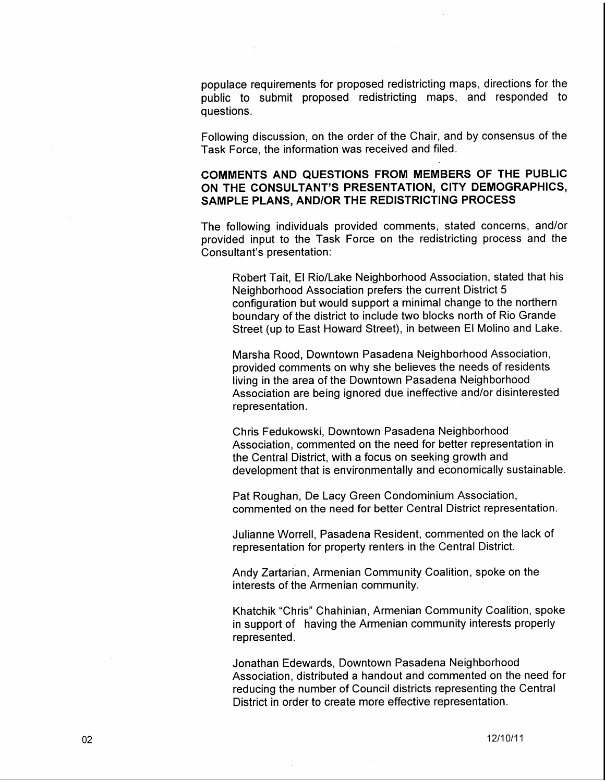populace requirements for proposed redistricting maps, directions for the public to submit proposed redistricting maps, and responded to questions.

Following discussion, on the order of the Chair, and by consensus of the Task Force, the information was received and filed.

COMMENTS AND QUESTIONS FROM MEMBERS OF THE PUBLIC ON THE CONSULTANT'S PRESENTATION, CITY DEMOGRAPHICS, SAMPLE PLANS, AND/OR THE REDISTRICTING PROCESS

The following individuals provided comments, stated concerns, and/or provided input to the Task Force on the redistricting process and the Consultant's presentation:

Robert Tait, El Rio/Lake Neighborhood Association, stated that his Neighborhood Association prefers the current District 5 configuration but would support a minimal change to the northern boundary of the district to include two blocks north of Rio Grande Street (up to East Howard Street), in between El Molino and Lake.

Marsha Rood, Downtown Pasadena Neighborhood Association, provided comments on why she believes the needs of residents living in the area of the Downtown Pasadena Neighborhood Association are being ignored due ineffective and/or disinterested representation.

Chris Fedukowski, Downtown Pasadena Neighborhood Association, commented on the need for better representation in the Central District, with a focus on seeking growth and development that is environmentally and economically sustainable.

Pat Roughan, De Lacy Green Condominium Association, commented on the need for better Central District representation.

Julianne Worrell, Pasadena Resident, commented on the lack of representation for property renters in the Central District.

Andy Zartarian, Armenian Community Coalition, spoke on the interests of the Armenian community.

Khatchik "Chris" Chahinian, Armenian Community Coalition, spoke in support of having the Armenian community interests properly represented.

Jonathan Edewards, Downtown Pasadena Neighborhood Association, distributed a handout and commented on the need for reducing the number of Council districts representing the Central District in order to create more effective representation.